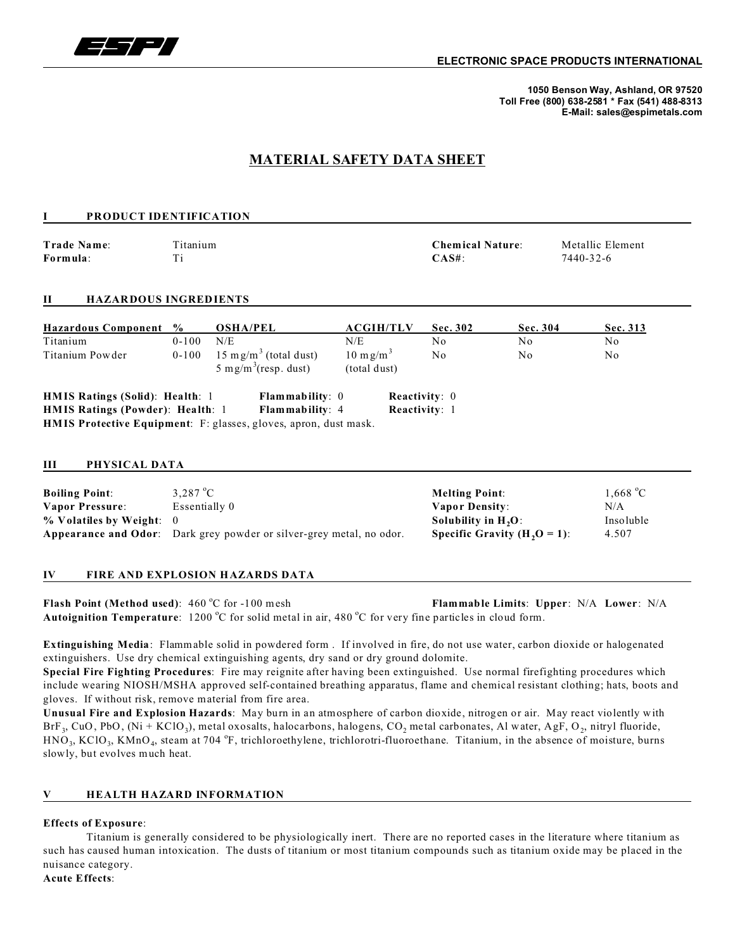

**1050 Benson Way, Ashland, OR 97520 Toll Free (800) 638-2581 \* Fax (541) 488-8313 E-Mail: sales@espimetals.com**

# **MATERIAL SAFETY DATA SHEET**

| <b>PRODUCT IDENTIFICATION</b>                                                                            |                                                                                                   |                                                                                                        |                                             |                                                                                                             |                      |                                       |
|----------------------------------------------------------------------------------------------------------|---------------------------------------------------------------------------------------------------|--------------------------------------------------------------------------------------------------------|---------------------------------------------|-------------------------------------------------------------------------------------------------------------|----------------------|---------------------------------------|
| Trade Name:<br>Formula:                                                                                  | Titanium<br>Ti                                                                                    |                                                                                                        |                                             | <b>Chemical Nature:</b><br>$CAS#$ :                                                                         |                      | Metallic Element<br>7440-32-6         |
| <b>HAZARDOUS INGREDIENTS</b><br>П                                                                        |                                                                                                   |                                                                                                        |                                             |                                                                                                             |                      |                                       |
| <b>Hazardous Component</b>                                                                               | $\frac{6}{9}$                                                                                     | <b>OSHA/PEL</b>                                                                                        | <b>ACGIH/TLV</b>                            | Sec. 302                                                                                                    | Sec. 304             | Sec. 313                              |
| Titanium<br>Titanium Powder                                                                              | $0 - 100$<br>$0 - 100$                                                                            | N/E<br>15 mg/m <sup>3</sup> (total dust)<br>5 mg/m <sup>3</sup> (resp. dust)                           | N/E<br>$10 \text{ m g/m}^3$<br>(total dust) | No<br>No                                                                                                    | N <sub>o</sub><br>No | No<br>No                              |
| HMIS Ratings (Solid): Health: 1<br>HMIS Ratings (Powder): Health: 1                                      |                                                                                                   | Flammability: 0<br>Flammability: 4<br>HMIS Protective Equipment: F: glasses, gloves, apron, dust mask. | Reactivity: 0<br>Reactivity: 1              |                                                                                                             |                      |                                       |
| PHYSICAL DATA<br>Ш                                                                                       |                                                                                                   |                                                                                                        |                                             |                                                                                                             |                      |                                       |
| <b>Boiling Point:</b><br><b>Vapor Pressure:</b><br>% Volatiles by Weight:<br><b>Appearance and Odor:</b> | $3,287^{\circ}$ C<br>Essentially 0<br>$\Omega$<br>Dark grey powder or silver-grey metal, no odor. |                                                                                                        |                                             | <b>Melting Point:</b><br><b>Vapor Density:</b><br>Solubility in $H_2O$ :<br>Specific Gravity $(H, O = 1)$ : |                      | 1,668 °C<br>N/A<br>Insoluble<br>4.507 |

### **IV FIRE AND EXPLOSION HAZARDS DATA**

**Flash Point (Method used)**: 460 °C for -100 mesh **Flammable Limits**: Upper: N/A Lower: N/A Autoignition Temperature: 1200 °C for solid metal in air, 480 °C for very fine particles in cloud form.

**Extinguishing Media**: Flammable solid in powdered form . If involved in fire, do not use water, carbon dioxide or halogenated extinguishers. Use dry chemical extinguishing agents, dry sand or dry ground dolomite.

**Special Fire Fighting Procedures**: Fire may reignite after having been extinguished. Use normal firefighting procedures which include wearing NIOSH/MSHA approved self-contained breathing apparatus, flame and chemical resistant clothing; hats, boots and gloves. If without risk, remove material from fire area.

**Unusual Fire and Explosion Hazards**: May burn in an atmosphere of carbon dioxide, nitrogen or air. May react violently with BrF<sub>3</sub>, CuO, PbO, (Ni + KClO<sub>3</sub>), metal oxosalts, halocarbons, halogens, CO<sub>2</sub> metal carbonates, Al water, AgF, O<sub>2</sub>, nitryl fluoride,  $HNO_3$ , KClO<sub>3</sub>, KMnO<sub>4</sub>, steam at 704 °F, trichloroethylene, trichlorotri-fluoroethane. Titanium, in the absence of moisture, burns slowly, but evolves much heat.

#### **V HEALTH HAZARD INFORMATION**

#### **Effects of Exposure**:

Titanium is generally considered to be physiologically inert. There are no reported cases in the literature where titanium as such has caused human intoxication. The dusts of titanium or most titanium compounds such as titanium oxide may be placed in the nuisance category.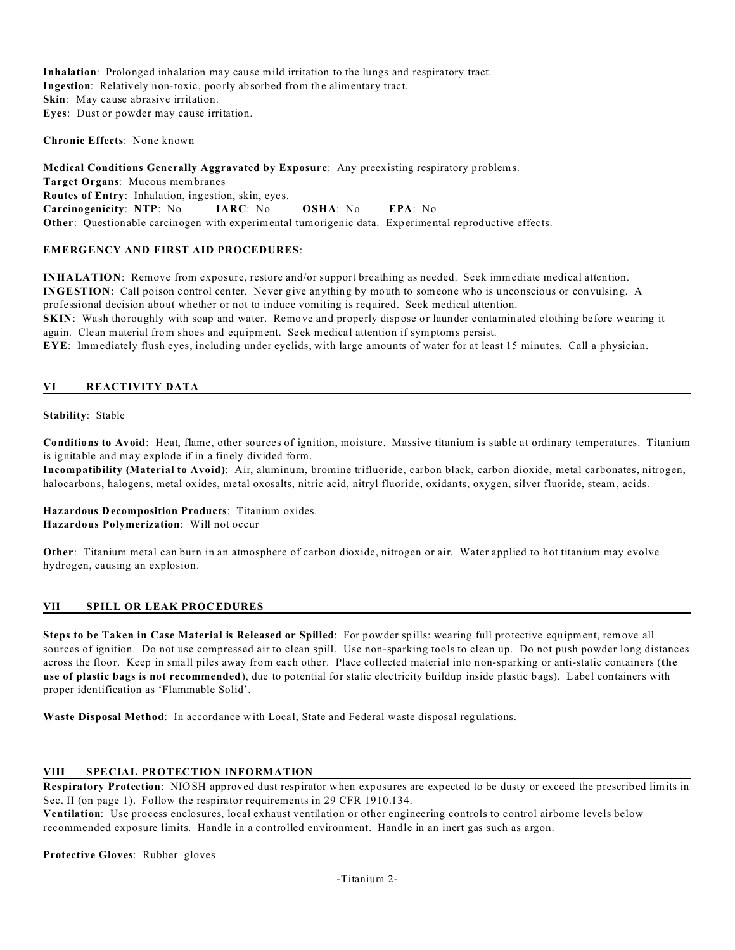**Inhalation**: Prolonged inhalation may cause mild irritation to the lungs and respiratory tract. **Ingestion**: Relatively non-toxic, poorly absorbed from the alimentary tract. **Skin**: May cause abrasive irritation. **Eyes**: Dust or powder may cause irritation.

**Chronic Effects**: None known

**Medical Conditions Generally Aggravated by Exposure**: Any preexisting respiratory problems. **Target Organs**: Mucous membranes **Routes of Entry**: Inhalation, ingestion, skin, eyes. **Carcinogenicity**: **NTP**: No **IARC**: No **OSHA**: No **EPA**: No **Other**: Questionable carcinogen with experimental tumorigenic data. Experimental reproductive effects.

#### **EMERGENCY AND FIRST AID PROCEDURES**:

**INHALATION**: Remove from exposure, restore and/or support breathing as needed. Seek immediate medical attention. **INGESTION**: Call poison control center. Never give anything by mouth to someone who is unconscious or convulsing. A professional decision about whether or not to induce vomiting is required. Seek medical attention. **SKIN**: Wash thoroughly with soap and water. Remove and properly dispose or launder contaminated clothing before wearing it again. Clean material from shoes and equipment. Seek medical attention if symptoms persist. **EYE**: Immediately flush eyes, including under eyelids, with large amounts of water for at least 15 minutes. Call a physician.

#### **VI REACTIVITY DATA**

**Stability**: Stable

**Conditions to Avoid**: Heat, flame, other sources of ignition, moisture. Massive titanium is stable at ordinary temperatures. Titanium is ignitable and may explode if in a finely divided form.

**Incompatibility (Material to Avoid)**: Air, aluminum, bromine trifluoride, carbon black, carbon dioxide, metal carbonates, nitrogen, halocarbons, halogens, metal oxides, metal oxosalts, nitric acid, nitryl fluoride, oxidants, oxygen, silver fluoride, steam, acids.

**Hazardous Decomposition Products**: Titanium oxides. **Hazardous Polymerization**: Will not occur

**Other**: Titanium metal can burn in an atmosphere of carbon dioxide, nitrogen or air. Water applied to hot titanium may evolve hydrogen, causing an explosion.

#### **VII SPILL OR LEAK PROCEDURES**

**Steps to be Taken in Case Material is Released or Spilled**: For powder spills: wearing full protective equipment, remove all sources of ignition. Do not use compressed air to clean spill. Use non-sparking tools to clean up. Do not push powder long distances across the floor. Keep in small piles away from each other. Place collected material into non-sparking or anti-static containers (**the use of plastic bags is not recommended**), due to potential for static electricity buildup inside plastic bags). Label containers with proper identification as 'Flammable Solid'.

**Waste Disposal Method**: In accordance with Local, State and Federal waste disposal regulations.

### **VIII SPECIAL PROTECTION INFORMATION**

**Respiratory Protection**: NIOSH approved dust respirator when exposures are expected to be dusty or exceed the prescribed limits in Sec. II (on page 1). Follow the respirator requirements in 29 CFR 1910.134.

**Ventilation**: Use process enclosures, local exhaust ventilation or other engineering controls to control airborne levels below recommended exposure limits. Handle in a controlled environment. Handle in an inert gas such as argon.

**Protective Gloves**: Rubber gloves